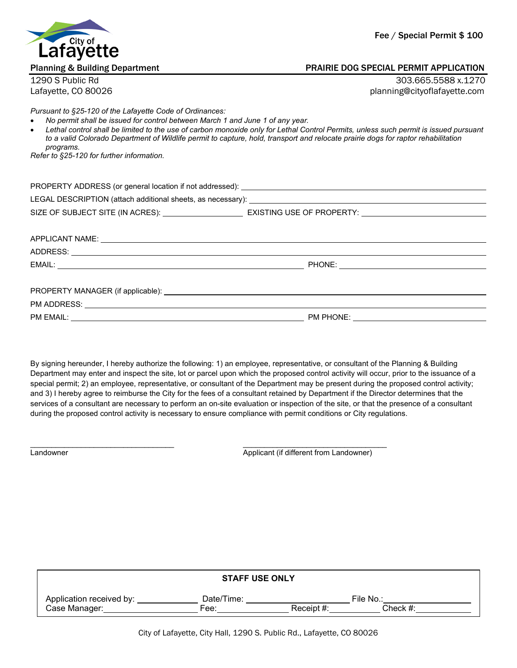

## Planning & Building Department PRAIRIE DOG SPECIAL PERMIT APPLICATION

1290 S Public Rd 303.665.5588 x.1270 Lafayette, CO 80026 planning@cityoflafayette.com

*Pursuant to §25-120 of the Lafayette Code of Ordinances:*

- *No permit shall be issued for control between March 1 and June 1 of any year.*
- *Lethal control shall be limited to the use of carbon monoxide only for Lethal Control Permits, unless such permit is issued pursuant to a valid Colorado Department of Wildlife permit to capture, hold, transport and relocate prairie dogs for raptor rehabilitation programs.*

*Refer to §25-120 for further information.*

| PROPERTY ADDRESS (or general location if not addressed): |                           |
|----------------------------------------------------------|---------------------------|
|                                                          |                           |
| SIZE OF SUBJECT SITE (IN ACRES):                         | EXISTING USE OF PROPERTY: |
|                                                          |                           |

| APPLICANT NAME:                                                                                                                                                                                                                            |           |
|--------------------------------------------------------------------------------------------------------------------------------------------------------------------------------------------------------------------------------------------|-----------|
| ADDRESS:<br><u> 1989 - Jan James James Barnett, fransk politik (d. 1989)</u>                                                                                                                                                               |           |
|                                                                                                                                                                                                                                            |           |
|                                                                                                                                                                                                                                            |           |
|                                                                                                                                                                                                                                            |           |
| PM EMAIL:<br>the control of the control of the control of the control of the control of the control of the control of the control of the control of the control of the control of the control of the control of the control of the control | PM PHONE: |

By signing hereunder, I hereby authorize the following: 1) an employee, representative, or consultant of the Planning & Building Department may enter and inspect the site, lot or parcel upon which the proposed control activity will occur, prior to the issuance of a special permit; 2) an employee, representative, or consultant of the Department may be present during the proposed control activity; and 3) I hereby agree to reimburse the City for the fees of a consultant retained by Department if the Director determines that the services of a consultant are necessary to perform an on-site evaluation or inspection of the site, or that the presence of a consultant during the proposed control activity is necessary to ensure compliance with permit conditions or City regulations.

 $\_$  , and the set of the set of the set of the set of the set of the set of the set of the set of the set of the set of the set of the set of the set of the set of the set of the set of the set of the set of the set of th

Landowner Applicant (if different from Landowner)

| <b>STAFF USE ONLY</b>    |            |               |           |  |
|--------------------------|------------|---------------|-----------|--|
| Application received by: | Date/Time: |               | File No.: |  |
| Case Manager:            | Fee:       | Receipt $#$ : | Check #:  |  |